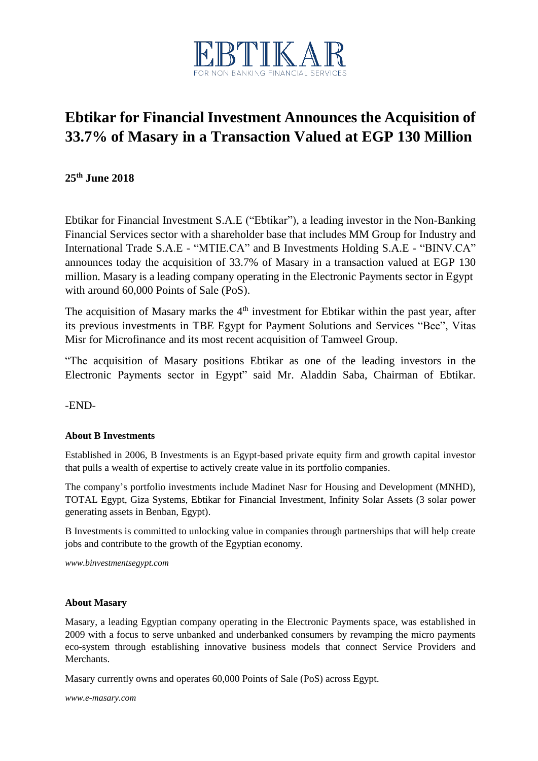

## **Ebtikar for Financial Investment Announces the Acquisition of 33.7% of Masary in a Transaction Valued at EGP 130 Million**

**25th June 2018**

Ebtikar for Financial Investment S.A.E ("Ebtikar"), a leading investor in the Non-Banking Financial Services sector with a shareholder base that includes MM Group for Industry and International Trade S.A.E - "MTIE.CA" and B Investments Holding S.A.E - "BINV.CA" announces today the acquisition of 33.7% of Masary in a transaction valued at EGP 130 million. Masary is a leading company operating in the Electronic Payments sector in Egypt with around 60,000 Points of Sale (PoS).

The acquisition of Masary marks the  $4<sup>th</sup>$  investment for Ebtikar within the past year, after its previous investments in TBE Egypt for Payment Solutions and Services "Bee", Vitas Misr for Microfinance and its most recent acquisition of Tamweel Group.

"The acquisition of Masary positions Ebtikar as one of the leading investors in the Electronic Payments sector in Egypt" said Mr. Aladdin Saba, Chairman of Ebtikar.

-END-

## **About B Investments**

Established in 2006, B Investments is an Egypt-based private equity firm and growth capital investor that pulls a wealth of expertise to actively create value in its portfolio companies.

The company's portfolio investments include Madinet Nasr for Housing and Development (MNHD), TOTAL Egypt, Giza Systems, Ebtikar for Financial Investment, Infinity Solar Assets (3 solar power generating assets in Benban, Egypt).

B Investments is committed to unlocking value in companies through partnerships that will help create jobs and contribute to the growth of the Egyptian economy.

*www.binvestmentsegypt.com*

## **About Masary**

Masary, a leading Egyptian company operating in the Electronic Payments space, was established in 2009 with a focus to serve unbanked and underbanked consumers by revamping the micro payments eco-system through establishing innovative business models that connect Service Providers and Merchants.

Masary currently owns and operates 60,000 Points of Sale (PoS) across Egypt.

*[www.e-masary.com](http://www.e-masary.com/)*